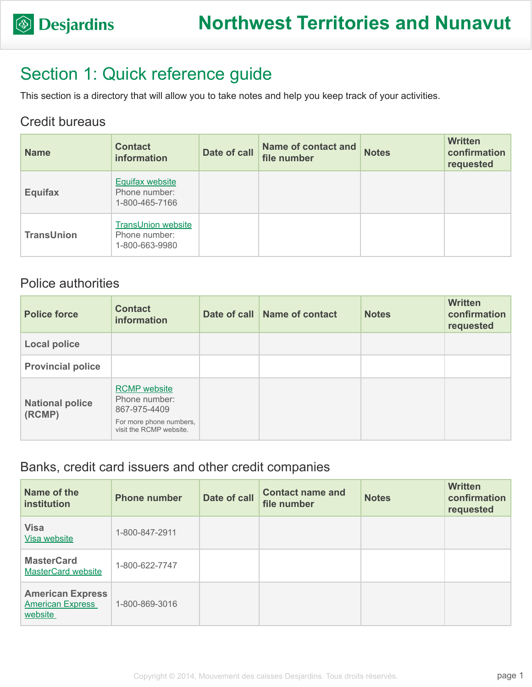## Section 1: Quick reference guide

This section is a directory that will allow you to take notes and help you keep track of your activities.

#### Credit bureaus

| <b>Name</b>       | <b>Contact</b><br>information                                | Date of call | Name of contact and<br>file number | <b>Notes</b> | <b>Written</b><br>confirmation<br>requested |
|-------------------|--------------------------------------------------------------|--------------|------------------------------------|--------------|---------------------------------------------|
| <b>Equifax</b>    | <b>Equifax website</b><br>Phone number:<br>1-800-465-7166    |              |                                    |              |                                             |
| <b>TransUnion</b> | <b>TransUnion website</b><br>Phone number:<br>1-800-663-9980 |              |                                    |              |                                             |

### Police authorities

| <b>Police force</b>              | <b>Contact</b><br>information                                                                              | Date of call Name of contact | <b>Notes</b> | <b>Written</b><br>confirmation<br>requested |
|----------------------------------|------------------------------------------------------------------------------------------------------------|------------------------------|--------------|---------------------------------------------|
| <b>Local police</b>              |                                                                                                            |                              |              |                                             |
| <b>Provincial police</b>         |                                                                                                            |                              |              |                                             |
| <b>National police</b><br>(RCMP) | <b>RCMP</b> website<br>Phone number:<br>867-975-4409<br>For more phone numbers,<br>visit the RCMP website. |                              |              |                                             |

#### Banks, credit card issuers and other credit companies

| Name of the<br>institution                                    | <b>Phone number</b> | Date of call | <b>Contact name and</b><br>file number | <b>Notes</b> | <b>Written</b><br>confirmation<br>requested |
|---------------------------------------------------------------|---------------------|--------------|----------------------------------------|--------------|---------------------------------------------|
| <b>Visa</b><br>Visa website                                   | 1-800-847-2911      |              |                                        |              |                                             |
| <b>MasterCard</b><br><b>MasterCard website</b>                | 1-800-622-7747      |              |                                        |              |                                             |
| <b>American Express</b><br><b>American Express</b><br>website | 1-800-869-3016      |              |                                        |              |                                             |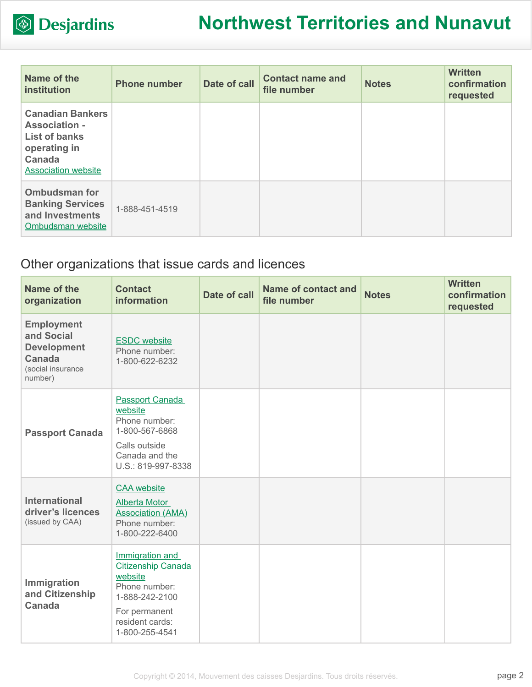

| Name of the<br><b>institution</b>                                                                                               | <b>Phone number</b> | Date of call | <b>Contact name and</b><br>file number | <b>Notes</b> | <b>Written</b><br>confirmation<br>requested |
|---------------------------------------------------------------------------------------------------------------------------------|---------------------|--------------|----------------------------------------|--------------|---------------------------------------------|
| <b>Canadian Bankers</b><br><b>Association -</b><br><b>List of banks</b><br>operating in<br>Canada<br><b>Association website</b> |                     |              |                                        |              |                                             |
| <b>Ombudsman for</b><br><b>Banking Services</b><br>and Investments<br>Ombudsman website                                         | 1-888-451-4519      |              |                                        |              |                                             |

### Other organizations that issue cards and licences

| Name of the<br>organization                                                                     | <b>Contact</b><br><b>information</b>                                                                                                             | Date of call | <b>Name of contact and</b><br>file number | <b>Notes</b> | <b>Written</b><br>confirmation<br>requested |
|-------------------------------------------------------------------------------------------------|--------------------------------------------------------------------------------------------------------------------------------------------------|--------------|-------------------------------------------|--------------|---------------------------------------------|
| <b>Employment</b><br>and Social<br><b>Development</b><br>Canada<br>(social insurance<br>number) | <b>ESDC</b> website<br>Phone number:<br>1-800-622-6232                                                                                           |              |                                           |              |                                             |
| <b>Passport Canada</b>                                                                          | <b>Passport Canada</b><br>website<br>Phone number:<br>1-800-567-6868<br>Calls outside<br>Canada and the<br>U.S.: 819-997-8338                    |              |                                           |              |                                             |
| <b>International</b><br>driver's licences<br>(issued by CAA)                                    | <b>CAA</b> website<br><b>Alberta Motor</b><br><b>Association (AMA)</b><br>Phone number:<br>1-800-222-6400                                        |              |                                           |              |                                             |
| Immigration<br>and Citizenship<br>Canada                                                        | Immigration and<br><b>Citizenship Canada</b><br>website<br>Phone number:<br>1-888-242-2100<br>For permanent<br>resident cards:<br>1-800-255-4541 |              |                                           |              |                                             |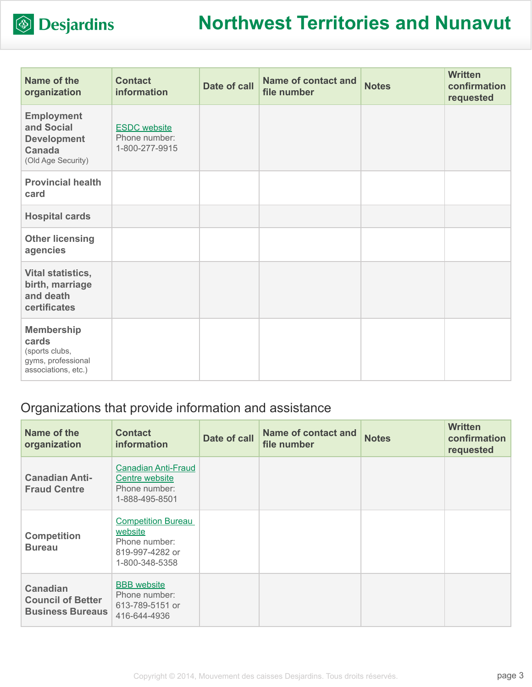

| Name of the<br>organization                                                                  | <b>Contact</b><br>information                          | Date of call | <b>Name of contact and</b><br>file number | <b>Notes</b> | <b>Written</b><br>confirmation<br>requested |
|----------------------------------------------------------------------------------------------|--------------------------------------------------------|--------------|-------------------------------------------|--------------|---------------------------------------------|
| <b>Employment</b><br>and Social<br><b>Development</b><br><b>Canada</b><br>(Old Age Security) | <b>ESDC</b> website<br>Phone number:<br>1-800-277-9915 |              |                                           |              |                                             |
| <b>Provincial health</b><br>card                                                             |                                                        |              |                                           |              |                                             |
| <b>Hospital cards</b>                                                                        |                                                        |              |                                           |              |                                             |
| <b>Other licensing</b><br>agencies                                                           |                                                        |              |                                           |              |                                             |
| Vital statistics,<br>birth, marriage<br>and death<br>certificates                            |                                                        |              |                                           |              |                                             |
| <b>Membership</b><br>cards<br>(sports clubs,<br>gyms, professional<br>associations, etc.)    |                                                        |              |                                           |              |                                             |

### Organizations that provide information and assistance

| Name of the<br>organization                                            | <b>Contact</b><br><i>information</i>                                                       | Date of call | <b>Name of contact and</b><br>file number | <b>Notes</b> | <b>Written</b><br>confirmation<br>requested |
|------------------------------------------------------------------------|--------------------------------------------------------------------------------------------|--------------|-------------------------------------------|--------------|---------------------------------------------|
| <b>Canadian Anti-</b><br><b>Fraud Centre</b>                           | <b>Canadian Anti-Fraud</b><br>Centre website<br>Phone number:<br>1-888-495-8501            |              |                                           |              |                                             |
| <b>Competition</b><br><b>Bureau</b>                                    | <b>Competition Bureau</b><br>website<br>Phone number:<br>819-997-4282 or<br>1-800-348-5358 |              |                                           |              |                                             |
| <b>Canadian</b><br><b>Council of Better</b><br><b>Business Bureaus</b> | <b>BBB</b> website<br>Phone number:<br>613-789-5151 or<br>416-644-4936                     |              |                                           |              |                                             |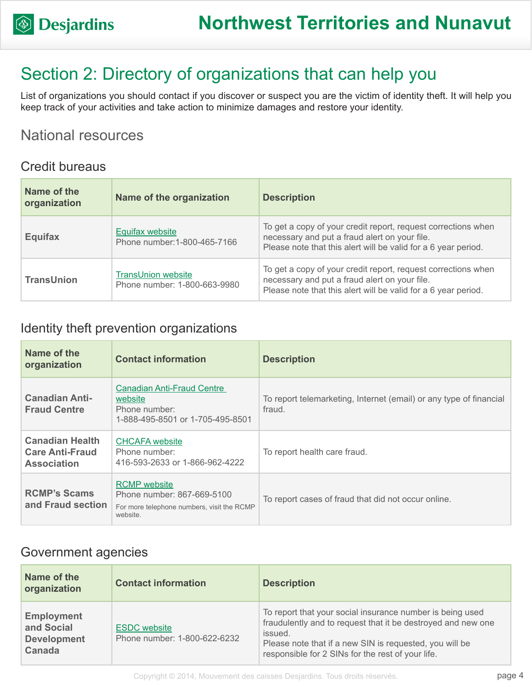## Section 2: Directory of organizations that can help you

List of organizations you should contact if you discover or suspect you are the victim of identity theft. It will help you keep track of your activities and take action to minimize damages and restore your identity.

### National resources

#### Credit bureaus

| Name of the<br>organization | Name of the organization                                  | <b>Description</b>                                                                                                                                                               |
|-----------------------------|-----------------------------------------------------------|----------------------------------------------------------------------------------------------------------------------------------------------------------------------------------|
| <b>Equifax</b>              | Equifax website<br>Phone number: 1-800-465-7166           | To get a copy of your credit report, request corrections when<br>necessary and put a fraud alert on your file.<br>Please note that this alert will be valid for a 6 year period. |
| <b>TransUnion</b>           | <b>TransUnion website</b><br>Phone number: 1-800-663-9980 | To get a copy of your credit report, request corrections when<br>necessary and put a fraud alert on your file.<br>Please note that this alert will be valid for a 6 year period. |

#### Identity theft prevention organizations

| Name of the<br>organization                                            | <b>Contact information</b>                                                                                  | <b>Description</b>                                                           |
|------------------------------------------------------------------------|-------------------------------------------------------------------------------------------------------------|------------------------------------------------------------------------------|
| <b>Canadian Anti-</b><br><b>Fraud Centre</b>                           | <b>Canadian Anti-Fraud Centre</b><br>website<br>Phone number:<br>1-888-495-8501 or 1-705-495-8501           | To report telemarketing, Internet (email) or any type of financial<br>fraud. |
| <b>Canadian Health</b><br><b>Care Anti-Fraud</b><br><b>Association</b> | <b>CHCAFA</b> website<br>Phone number:<br>416-593-2633 or 1-866-962-4222                                    | To report health care fraud.                                                 |
| <b>RCMP's Scams</b><br>and Fraud section                               | <b>RCMP</b> website<br>Phone number: 867-669-5100<br>For more telephone numbers, visit the RCMP<br>website. | To report cases of fraud that did not occur online.                          |

#### Government agencies

| Name of the<br>organization                                     | <b>Contact information</b>                          | <b>Description</b>                                                                                                                                                                                                                                   |
|-----------------------------------------------------------------|-----------------------------------------------------|------------------------------------------------------------------------------------------------------------------------------------------------------------------------------------------------------------------------------------------------------|
| <b>Employment</b><br>and Social<br><b>Development</b><br>Canada | <b>ESDC</b> website<br>Phone number: 1-800-622-6232 | To report that your social insurance number is being used<br>fraudulently and to request that it be destroyed and new one<br>issued.<br>Please note that if a new SIN is requested, you will be<br>responsible for 2 SINs for the rest of your life. |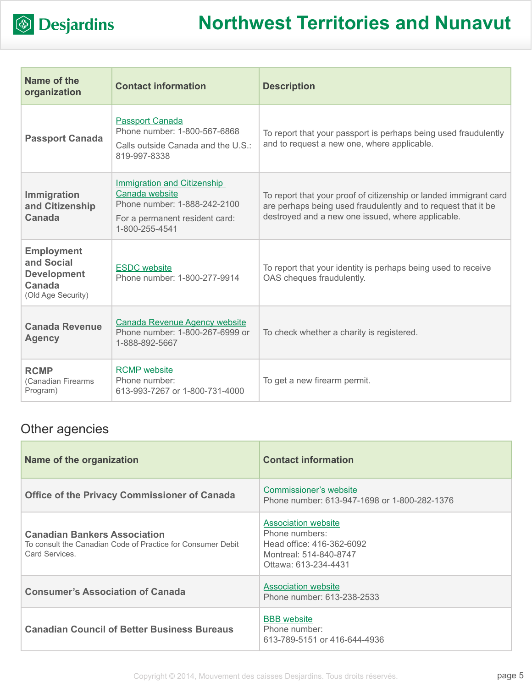

| Name of the<br>organization                                                           | <b>Contact information</b>                                                                                                               | <b>Description</b>                                                                                                                                                                      |
|---------------------------------------------------------------------------------------|------------------------------------------------------------------------------------------------------------------------------------------|-----------------------------------------------------------------------------------------------------------------------------------------------------------------------------------------|
| <b>Passport Canada</b>                                                                | <b>Passport Canada</b><br>Phone number: 1-800-567-6868<br>Calls outside Canada and the U.S.:<br>819-997-8338                             | To report that your passport is perhaps being used fraudulently<br>and to request a new one, where applicable.                                                                          |
| <b>Immigration</b><br>and Citizenship<br><b>Canada</b>                                | <b>Immigration and Citizenship</b><br>Canada website<br>Phone number: 1-888-242-2100<br>For a permanent resident card:<br>1-800-255-4541 | To report that your proof of citizenship or landed immigrant card<br>are perhaps being used fraudulently and to request that it be<br>destroyed and a new one issued, where applicable. |
| <b>Employment</b><br>and Social<br><b>Development</b><br>Canada<br>(Old Age Security) | <b>ESDC</b> website<br>Phone number: 1-800-277-9914                                                                                      | To report that your identity is perhaps being used to receive<br>OAS cheques fraudulently.                                                                                              |
| <b>Canada Revenue</b><br><b>Agency</b>                                                | Canada Revenue Agency website<br>Phone number: 1-800-267-6999 or<br>1-888-892-5667                                                       | To check whether a charity is registered.                                                                                                                                               |
| <b>RCMP</b><br>(Canadian Firearms<br>Program)                                         | <b>RCMP</b> website<br>Phone number:<br>613-993-7267 or 1-800-731-4000                                                                   | To get a new firearm permit.                                                                                                                                                            |

### Other agencies

| Name of the organization                                                                                             | <b>Contact information</b>                                                                                                  |
|----------------------------------------------------------------------------------------------------------------------|-----------------------------------------------------------------------------------------------------------------------------|
| <b>Office of the Privacy Commissioner of Canada</b>                                                                  | Commissioner's website<br>Phone number: 613-947-1698 or 1-800-282-1376                                                      |
| <b>Canadian Bankers Association</b><br>To consult the Canadian Code of Practice for Consumer Debit<br>Card Services. | <b>Association website</b><br>Phone numbers:<br>Head office: 416-362-6092<br>Montreal: 514-840-8747<br>Ottawa: 613-234-4431 |
| <b>Consumer's Association of Canada</b>                                                                              | <b>Association website</b><br>Phone number: 613-238-2533                                                                    |
| <b>Canadian Council of Better Business Bureaus</b>                                                                   | <b>BBB</b> website<br>Phone number:<br>613-789-5151 or 416-644-4936                                                         |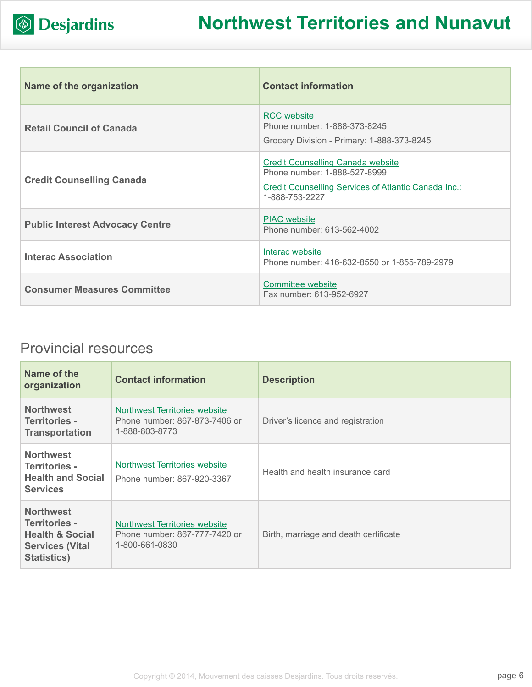

| Name of the organization               | <b>Contact information</b>                                                                                                                         |
|----------------------------------------|----------------------------------------------------------------------------------------------------------------------------------------------------|
| <b>Retail Council of Canada</b>        | <b>RCC</b> website<br>Phone number: 1-888-373-8245<br>Grocery Division - Primary: 1-888-373-8245                                                   |
| <b>Credit Counselling Canada</b>       | <b>Credit Counselling Canada website</b><br>Phone number: 1-888-527-8999<br>Credit Counselling Services of Atlantic Canada Inc.:<br>1-888-753-2227 |
| <b>Public Interest Advocacy Centre</b> | <b>PIAC</b> website<br>Phone number: 613-562-4002                                                                                                  |
| <b>Interac Association</b>             | Interac website<br>Phone number: 416-632-8550 or 1-855-789-2979                                                                                    |
| <b>Consumer Measures Committee</b>     | Committee website<br>Fax number: 613-952-6927                                                                                                      |

### Provincial resources

| Name of the<br>organization                                                                                     | <b>Contact information</b>                                                              | <b>Description</b>                    |
|-----------------------------------------------------------------------------------------------------------------|-----------------------------------------------------------------------------------------|---------------------------------------|
| <b>Northwest</b><br><b>Territories -</b><br><b>Transportation</b>                                               | <b>Northwest Territories website</b><br>Phone number: 867-873-7406 or<br>1-888-803-8773 | Driver's licence and registration     |
| <b>Northwest</b><br><b>Territories -</b><br><b>Health and Social</b><br><b>Services</b>                         | Northwest Territories website<br>Phone number: 867-920-3367                             | Health and health insurance card      |
| <b>Northwest</b><br>Territories -<br><b>Health &amp; Social</b><br><b>Services (Vital</b><br><b>Statistics)</b> | Northwest Territories website<br>Phone number: 867-777-7420 or<br>1-800-661-0830        | Birth, marriage and death certificate |